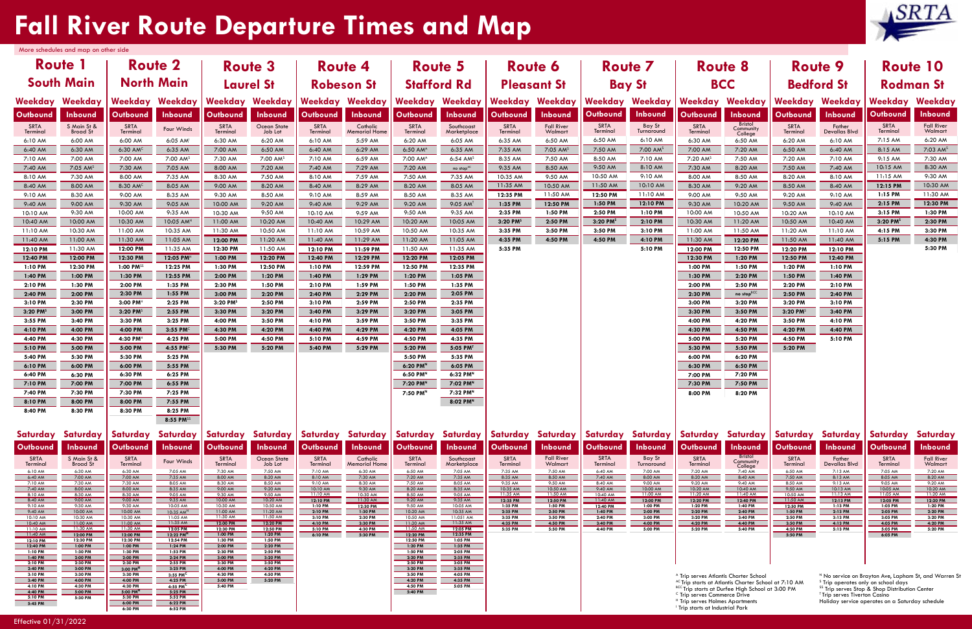# **Fall River Route Departure Times and Map**

|                                        | More schedules and map on other side |                                                  |                                     |                        |                      |                      |                                 |                                  |                        |                        |                      |                      |                       |                                                                                                                     |                             |                                   |                                                    |
|----------------------------------------|--------------------------------------|--------------------------------------------------|-------------------------------------|------------------------|----------------------|----------------------|---------------------------------|----------------------------------|------------------------|------------------------|----------------------|----------------------|-----------------------|---------------------------------------------------------------------------------------------------------------------|-----------------------------|-----------------------------------|----------------------------------------------------|
| <b>Route 1</b><br><b>Route 2</b>       |                                      |                                                  | <b>Route 3</b>                      |                        | <b>Route 4</b>       |                      | <b>Route 5</b>                  |                                  | <b>Route 6</b>         |                        | <b>Route 7</b>       |                      | <b>Route 8</b>        |                                                                                                                     | <b>Route 9</b>              |                                   |                                                    |
| <b>South Main</b><br><b>North Main</b> |                                      | <b>Laurel St</b>                                 |                                     | <b>Robeson St</b>      |                      | <b>Stafford Rd</b>   |                                 | <b>Pleasant St</b>               |                        | <b>Bay St</b>          |                      | <b>BCC</b>           |                       | <b>Bedford St</b>                                                                                                   |                             |                                   |                                                    |
| Weekday                                | Weekday                              | Weekday                                          | Weekday                             | Weekday                | Weekday              |                      | Weekday Weekday                 | Weekday Weekday                  |                        | Weekday                | Weekday              | Weekday              | Weekday               | Weekday                                                                                                             | Weekday                     | Weekday                           | Weekday                                            |
| Outbound                               | <b>Inbound</b>                       | Outbound                                         | <b>Inbound</b>                      | <b>Outbound</b>        | Inbound              | Outbound             | Inbound                         | <b>Outbound</b>                  | <b>Inbound</b>         | Outbound               | Inbound              | Outbound             | Inbound               | Outbound                                                                                                            | <b>Inbound</b>              | Outbound                          | <b>Inbound</b>                                     |
| SRTA<br>Terminal                       | S Main St &                          | SRTA<br>Terminal                                 | Four Winds                          | SRTA                   | Ocean State          | SRTA                 | Catholic                        | SRTA                             | Southcoast             | SRTA                   | <b>Fall River</b>    | SRTA                 | Bay St<br>Turnaround  | SRTA                                                                                                                | <b>Bristol</b><br>Community | SRTA                              | Father<br>Devallas Blvd                            |
| 6:10 AM                                | <b>Broad St</b><br>6:00 AM           | 6:00 AM                                          | 6:05 AM                             | Terminal<br>6:30 AM    | Job Lot<br>6:20 AM   | Terminal<br>6:10 AM  | <b>Memorial Home</b><br>5:59 AM | Terminal<br>6:20 AM              | Marketplace<br>6:05 AM | Terminal<br>6:35 AM    | Walmart<br>6:50 AM   | Terminal<br>6:50 AM  | 6:10 AM               | Terminal<br>6:30 AM                                                                                                 | College<br>6:50 AM          | Terminal<br>6:20 AM               | 6:10 AM                                            |
| 6:40 AM                                | 6:30 AM                              | 6:30 AM <sup>C</sup>                             | 6:35 AM                             | 7:00 AM                | 6:50 AM              | 6:40 AM              | 6:29 AM                         | 6:50 AM <sup>A</sup>             | 6:35 AM                | 7:35 AM                | 7:05 AM <sup>S</sup> | 7:50 AM              | 7:00 AM <sup>S</sup>  | 7:00 AM                                                                                                             | 7:20 AM                     | 6:50 AM                           | 6:40 AM                                            |
| 7:10 AM                                | 7:00 AM                              | 7:00 AM                                          | 7:00 AM <sup>S</sup>                | 7:30 AM                | 7:00 AM <sup>S</sup> | 7:10 AM              | 6:59 AM                         | 7:00 AM <sup>A</sup>             | $6:54$ AM <sup>S</sup> | 8:35 AM                | 7:50 AM              | 8:50 AM              | 7:10 AM               | 7:20 AM <sup>S</sup>                                                                                                | 7:50 AM                     | 7:20 AM                           | 7:10 AM                                            |
| 7:40 AM                                | $7:05$ AM <sup>s</sup>               | 7:30 AM                                          | 7:05 AM                             | 8:00 AM                | 7:20 AM              | 7:40 AM              | 7:29 AM                         | 7:20 AM                          | no stop <sup>AC</sup>  | 9:35 AM                | 8:50 AM              | 9:50 AM              | 8:10 AM               | 7:30 AM                                                                                                             | 8:20 AM                     | 7:50 AM                           | 7:40 AM                                            |
| 8:10 AM                                | 7:30 AM                              | 8:00 AM                                          | 7:35 AM                             | 8:30 AM                | 7:50 AM              | 8:10 AM              | 7:59 AM                         | 7:50 AM                          | 7:35 AM                | 10:35 AM               | 9:50 AM              | 10:50 AM<br>11:50 AM | 9:10 AM               | 8:00 AM                                                                                                             | 8:50 AM                     | 8:20 AM                           | 8:10 AM                                            |
| 8:40 AM<br>9:10 AM                     | 8:00 AM<br>8:30 AM                   | 8:30 AM <sup>c</sup><br>9:00 AM                  | 8:05 AM<br>8:35 AM                  | 9:00 AM<br>9:30 AM     | 8:20 AM<br>8:50 AM   | 8:40 AM<br>9:10 AM   | 8:29 AM<br>8:59 AM              | 8:20 AM<br>8:50 AM               | 8:05 AM<br>8:35 AM     | 11:35 AM<br>12:35 PM   | 10:50 AM<br>11:50 AM | 12:50 PM             | 10:10 AM<br>11:10 AM  | 8:30 AM<br>9:00 AM                                                                                                  | 9:20 AM<br>9:50 AM          | 8:50 AM<br>9:20 AM                | 8:40 AM<br>9:10 AM                                 |
| 9:40 AM                                | 9:00 AM                              | 9:30 AM                                          | 9:05 AM                             | 10:00 AM               | 9:20 AM              | 9:40 AM              | 9:29 AM                         | 9:20 AM                          | 9:05 AMT               | 1:35 PM                | 12:50 PM             | 1:50 PM              | 12:10 PM              | 9:30 AM                                                                                                             | 10:20 AM                    | 9:50 AM                           | 9:40 AM                                            |
| 10:10 AM                               | 9:30 AM                              | 10:00 AM                                         | 9:35 AM                             | 10:30 AM               | 9:50 AM              | 10:10 AM             | 9:59 AM                         | 9:50 AM                          | 9:35 AM                | 2:35 PM                | 1:50 PM              | 2:50 PM              | 1:10 PM               | 10:00 AM                                                                                                            | 10:50 AM                    | 10:20 AM                          | 10:10 AM                                           |
| 10:40 AM                               | 10:00 AM                             | 10:30 AM                                         | $10:05$ AM <sup>H</sup>             | 11:00 AM               | 10:20 AM             | 10:40 AM             | 10:29 AM                        | 10:20 AM                         | 10:05 AM               | $3:20$ PM <sup>s</sup> | 2:50 PM              | 3:20 PM <sup>s</sup> | 2:10 PM               | 10:30 AM                                                                                                            | 11:20 AM                    | 10:50 AM                          | 10:40 AM                                           |
| 11:10 AM                               | 10:30 AM                             | 11:00 AM                                         | 10:35 AM                            | 11:30 AM               | 10:50 AM             | 11:10 AM             | 10:59 AM                        | 10:50 AM                         | 10:35 AM               | 3:35 PM                | 3:50 PM              | 3:50 PM              | 3:10 PM               | 11:00 AM                                                                                                            | 11:50 AM                    | 11:20 AM                          | 11:10 AM                                           |
| 11:40 AM                               | 11:00 AM                             | 11:30 AM                                         | 11:05 AM                            | 12:00 PM               | 11:20 AM             | 11:40 AM             | 11:29 AM                        | 11:20 AM                         | 11:05 AM               | 4:35 PM                | 4:50 PM              | 4:50 PM              | 4:10 PM               | 11:30 AM                                                                                                            | 12:20 PM                    | 11:50 AM                          | 11:40 AM                                           |
| 12:10 PM<br>12:40 PM                   | 11:30 AM<br>12:00 PM                 | 12:00 PM<br>12:30 PM                             | 11:35 AM<br>12:05 PM <sup>H</sup>   | 12:30 PM<br>1:00 PM    | 11:50 AM<br>12:20 PM | 12:10 PM<br>12:40 PM | 11:59 PM<br>12:29 PM            | 11:50 AM<br>12:20 PM             | 11:35 AM<br>12:05 PM   | 5:35 PM                |                      |                      | 5:10 PM               | 12:00 PM<br>12:30 PM                                                                                                | 12:50 PM<br>1:20 PM         | 12:20 PM<br>12:50 PM              | 12:10 PM<br>12:40 PM                               |
| 1:10 PM                                | 12:30 PM                             | 1:00 PM <sup>SS</sup>                            | 12:25 PM                            | 1:30 PM                | 12:50 PM             | 1:10 PM              | 12:59 PM                        | 12:50 PM                         | 12:35 PM               |                        |                      |                      |                       | 1:00 PM                                                                                                             | 1:50 PM                     | 1:20 PM                           | 1:10 PM                                            |
| 1:40 PM                                | 1:00 PM                              | 1:30 PM                                          | 12:55 PM                            | 2:00 PM                | 1:20 PM              | 1:40 PM              | 1:29 PM                         | 1:20 PM                          | 1:05 PM                |                        |                      |                      |                       | 1:30 PM                                                                                                             | 2:20 PM                     | 1:50 PM                           | 1:40 PM                                            |
| 2:10 PM                                | 1:30 PM                              | 2:00 PM                                          | 1:35 PM                             | 2:30 PM                | 1:50 PM              | 2:10 PM              | 1:59 PM                         | 1:50 PM                          | 1:35 PM                |                        |                      |                      |                       | 2:00 PM                                                                                                             | 2:50 PM                     | 2:20 PM                           | 2:10 PM                                            |
| 2:40 PM                                | 2:00 PM                              | 2:30 PM                                          | 1:55 PM                             | 3:00 PM                | 2:20 PM              | 2:40 PM              | 2:29 PM                         | 2:20 PM                          | 2:05 PM                |                        |                      |                      |                       | 2:30 PM                                                                                                             | no stop $^{BCC}$            | 2:50 PM                           | 2:40 PM                                            |
| 3:10 PM<br>3:20 PM <sup>s</sup>        | 2:30 PM<br>3:00 PM                   | $3:00$ PM <sup>H</sup><br>$3:20$ PM <sup>s</sup> | 2:25 PM<br>2:55 PM                  | $3:20$ PM <sup>s</sup> | 2:50 PM              | 3:10 PM<br>3:40 PM   | 2:59 PM<br>3:29 PM              | 2:50 PM<br>3:20 PM               | 2:35 PM                |                        |                      |                      |                       | 3:00 PM<br>3:30 PM                                                                                                  | 3:20 PM<br>3:50 PM          | 3:20 PM<br>$3:20$ PM <sup>s</sup> | 3:10 PM<br>3:40 PM                                 |
| 3:55 PM                                | 3:40 PM                              | 3:30 PM                                          | 3:25 PM                             | 3:30 PM<br>4:00 PM     | 3:20 PM<br>3:50 PM   | 4:10 PM              | 3:59 PM                         | 3:50 PM                          | 3:05 PM<br>3:35 PM     |                        |                      |                      |                       | 4:00 PM                                                                                                             | 4:20 PM                     | 3:50 PM                           | 4:10 PM                                            |
| 4:10 PM                                | 4:00 PM                              | 4:00 PM                                          | 3:55 PM $^{\circ}$                  | 4:30 PM                | 4:20 PM              | 4:40 PM              | 4:29 PM                         | 4:20 PM                          | 4:05 PM                |                        |                      |                      |                       | 4:30 PM                                                                                                             | 4:50 PM                     | 4:20 PM                           | 4:40 PM                                            |
| 4:40 PM                                | 4:30 PM                              | 4:30 PM <sup>H</sup>                             | 4:25 PM                             | 5:00 PM                | 4:50 PM              | 5:10 PM              | 4:59 PM                         | 4:50 PM                          | 4:35 PM                |                        |                      |                      |                       | 5:00 PM                                                                                                             | 5:20 PM                     | 4:50 PM                           | 5:10 PM                                            |
| 5:10 PM                                | 5:00 PM                              | 5:00 PM                                          | 4:55 PMC                            | 5:30 PM                | 5:20 PM              | 5:40 PM              | 5:29 PM                         | 5:20 PM                          | 5:05 PMT               |                        |                      |                      |                       | 5:30 PM                                                                                                             | 5:50 PM                     | 5:20 PM                           |                                                    |
| 5:40 PM                                | 5:30 PM                              | 5:30 PM                                          | 5:25 PM                             |                        |                      |                      |                                 | 5:50 PM                          | 5:35 PM                |                        |                      |                      |                       | 6:00 PM                                                                                                             | 6:20 PM                     |                                   |                                                    |
| 6:10 PM<br>6:40 PM                     | 6:00 PM<br>6:30 PM                   | 6:00 PM<br>6:30 PM                               | 5:55 PM<br>6:25 PM                  |                        |                      |                      |                                 | 6:20 PMN<br>6:50 PM <sup>N</sup> | 6:05 PM<br>6:32 PMN    |                        |                      |                      |                       | 6:30 PM<br>7:00 PM                                                                                                  | 6:50 PM<br>7:20 PM          |                                   |                                                    |
| 7:10 PM                                | 7:00 PM                              | 7:00 PM                                          | 6:55 PM                             |                        |                      |                      |                                 | 7:20 PM <sup>N</sup>             | 7:02 PM <sup>N</sup>   |                        |                      |                      |                       | 7:30 PM                                                                                                             | 7:50 PM                     |                                   |                                                    |
| 7:40 PM                                | 7:30 PM                              | 7:30 PM                                          | 7:25 PM                             |                        |                      |                      |                                 | 7:50 PM <sup>N</sup>             | 7:32 PMN               |                        |                      |                      |                       | 8:00 PM                                                                                                             | 8:20 PM                     |                                   |                                                    |
| 8:10 PM                                | 8:00 PM                              | 8:00 PM                                          | 7:55 PM                             |                        |                      |                      |                                 |                                  | 8:02 PMN               |                        |                      |                      |                       |                                                                                                                     |                             |                                   |                                                    |
| 8:40 PM                                | 8:30 PM                              | 8:30 PM                                          | 8:25 PM                             |                        |                      |                      |                                 |                                  |                        |                        |                      |                      |                       |                                                                                                                     |                             |                                   |                                                    |
|                                        |                                      |                                                  | 8:55 PMSS                           |                        |                      |                      |                                 |                                  |                        |                        |                      |                      |                       |                                                                                                                     |                             |                                   |                                                    |
| Saturday                               | Saturday                             | Saturday                                         | Saturday                            | Saturday               | Saturday             |                      | Saturday Saturday               | Saturday Saturday                |                        |                        | Saturday Saturday    | Saturday             | Saturday              | Saturday                                                                                                            | Saturday                    | Saturday                          | Saturday                                           |
| <b>Outbound</b>                        | Inbound                              | Outbound                                         | Inbound                             | Outbound               | Inbound              | Outbound             | Inbound                         | <b>Outbound</b>                  | <b>Inbound</b>         | Outbound               | Inbound              | <b>Outbound</b>      | Inbound               | Outbound                                                                                                            | Inbound                     | Outbound                          | <b>Inbound</b>                                     |
| SRTA                                   | S Main St &<br>Broad St              | SRTA                                             | Four Winds                          | SRTA                   | Ocean State          | SRTA                 | Catholic                        | SRTA                             | Southcoast             | SRTA                   | <b>Fall River</b>    | SRTA                 | Bay St                | SRTA                                                                                                                | <b>Bristol</b><br>Community | SRTA                              | Father                                             |
| Terminal<br>6:10 AM                    | 6:30 AM                              | Terminal<br>6:30 AM                              | 7:05 AM                             | Terminal<br>7:30 AM    | Job Lot<br>7:50 AM   | Terminal<br>7:10 AM  | <b>Memorial Home</b><br>6:30 AM | Terminal<br>6:50 AM              | Marketplace<br>7:05 AM | Terminal<br>7:35 AM    | Walmart<br>7:50 AM   | Terminal<br>6:40 AM  | Turnaround<br>7:00 AM | Terminal<br>7:20 AM                                                                                                 | College<br>7:40 AM          | Terminal<br>6:50 AM               | <b>Devallas Blvd</b><br>7:13 AM                    |
| 6:40 AM                                | 7:00 AM                              | 7:00 AM                                          | 7:35 AM                             | 8:00 AM                | 8:20 AM              | 8:10 AM              | 7:30 AM                         | 7:20 AM                          | 7:35 AM                | 8:35 AM                | 8:50 AM              | 7:40 AM              | 8:00 AM               | 8:20 AM                                                                                                             | 8:40 AM                     | 7:50 AM                           | 8:13 AM                                            |
| 7:10 AM<br>7:40 AM                     | 7:30 AM<br>8:00 AM                   | 7:30 AM<br>8:00 AM                               | 8:05 AM<br>8:35 AM                  | 8:30 AM<br>9:00 AM     | 8:50 AM<br>9:20 AM   | 9:10 AM<br>10:10 AM  | 8:30 AM<br>9:30 AM              | 7:50 AM<br>8:20 AM               | 8:05 AM<br>8:35 AM     | 9:35 AM<br>10:35 AM    | 9:50 AM<br>10:50 AM  | 8:40 AM<br>9:40 AM   | 9:00 AM<br>10:00 AM   | 9:20 AM<br>10:20 AM                                                                                                 | 9:40 AM<br>10:40 AM         | 8:50 AM<br>9:50 AM                | 9:13AM<br>10:13 AM                                 |
| 8:10 AM<br>8:40 AM                     | 8:30 AM<br>9:00 AM                   | 8:30 AM<br>9:00 AM                               | 9:05 AM<br>9:35 AM                  | 9:30 AM<br>10:00 AM    | 9:50 AM<br>10:20 AM  | 11:10 AM<br>12:10 PM | 10:30 AM<br>$11:30$ AM          | 8:50 AM<br>9:20 AM               | 9:05 AM<br>9:35 AM     | 11:35 AM<br>12:35 PM   | 11:50 AM<br>12:50 PM | 10:40 AM<br>11:40 AM | 11:00 AM<br>12:00 PM  | 11:20 AM<br>12:20 PM                                                                                                | 11:40 AM<br>12:40 PM        | 10:50 AM<br>11:50 AM              | 11:13AM<br>12:13 PM                                |
| 9:10 AM<br>9:40 AM                     | 9:30 AM<br>10:00 AM                  | $9:30$ AM<br>10:00 AM                            | 10:05 AM<br>$10:35$ AM <sup>H</sup> | 10:30 AM<br>11:00 AM   | 10:50 AM<br>11:20 AM | 1:10 PM<br>2:10 PM   | 12:30 PM<br>1:30 PM             | 9:50 AM<br>10:20 AM              | 10:05 AM<br>10:35 AM   | 1:35 PM<br>2:35 PM     | 1:50 PM<br>2:50 PM   | 12:40 PM<br>1:40 PM  | 1:00 PM<br>2:00 PM    | 1:20 PM<br>2:20 PM                                                                                                  | 1:40 PM<br>2:40 PM          | 12:50 PM<br>1:50 PM               | 1:13 PM<br>2:13 PM                                 |
| 10:10 AM                               | 10:30 AM                             | 10:30 AM                                         | 11:05 AM                            | 11:30 AM               | 11:50 AM             | 3:10 PM              | 2:30 PM                         | 10:50 AM                         | 11:051 AM              | 3:35 PM                | 3:50 PM              | 2:40 PM              | 3:00 PM               | 3:20 PM                                                                                                             | 3:40 PM                     | 2:50 PM                           | 3:13 PM                                            |
| 10:40 AM<br>11:10 AM                   | 11:00 AM<br>11:30 AM                 | 11:00 AM<br>11:30 AM                             | $11:35$ AM<br>12:05 PM              | 12:00 PM<br>12:30 PM   | 12:20 PM<br>12:50 PM | 4:10 PM<br>5:10 PM   | 3:30 PM<br>4:30 PM              | 11:20 AM<br>11:50 AM             | 11:35 AM<br>12:05 PM   | 4:35 PM<br>5:35 PM     | 4:50 PM<br>5:50 PM   | 3:40 PM<br>4:40 PM   | 4:00 PM<br>5:00 PM    | 4:20 PM<br>5:20 PM                                                                                                  | 4:40 PM<br>5:40 PM          | 3:50 PM<br>4:50 PM                | 4:13 PM<br>5:13 PM                                 |
| $11:40$ AM<br>12:10 PM                 | 12:00 PM<br>12:30 PM                 | 12:00 PM<br>12:30 PM                             | 12:22 PM <sup>H</sup><br>12:54 PM   | 1:00 PM<br>1:30 PM     | 1:20 PM<br>1:50 PM   | 6:10 PM              | 5:30 PM                         | 12:20 PM<br>12:50 PM             | 12:35 PM<br>1:05 PM    |                        |                      |                      |                       |                                                                                                                     |                             | 5:50 PM                           |                                                    |
| 12:40 PM<br>1:10 PM                    | 1:00 PM<br>1:30 PM                   | 1:00 PM<br>1:30 PM                               | 1:24 PM<br>1:53 PM                  | 2:00 PM<br>2:30 PM     | 2:20 PM<br>2:50 PM   |                      |                                 | 1:20 PM<br>1:50 PM               | 1:35 PM<br>2:05 PM     |                        |                      |                      |                       |                                                                                                                     |                             |                                   |                                                    |
| 1:40 PM<br>2:10 PM                     | 2:00 PM<br>2:30 PM                   | 2:00 PM<br>2:30 PM                               | 2:24 PM<br>2:55 PM                  | 3:00 PM<br>3:30 PM     | 3:20 PM<br>3:50 PM   |                      |                                 | 2:20 PM<br>2:50 PM               | 2:35 PM<br>3:05 PM     |                        |                      |                      |                       |                                                                                                                     |                             |                                   |                                                    |
| 2:40 PM<br>3:10 PM                     | 3:00 PM<br>3:30 PM                   | 3:00 PM <sup>H</sup>                             | 3:25 PM                             | 4:00 PM                | 4:20 PM              |                      |                                 | 3:20 PM<br>3:50 PM               | 3:35 PM                |                        |                      |                      |                       |                                                                                                                     |                             |                                   |                                                    |
| 3:40 PM                                | 4:00 PM                              | 3:30 PM<br>4:00 PM                               | $3:55$ PM <sup>C</sup><br>4:25 PM   | 4:30 PM<br>5:00 PM     | 4:50 PM<br>5:20 PM   |                      |                                 | 4:20 PM                          | 4:05 PM<br>4:35 PM     |                        |                      |                      |                       | <sup>A</sup> Trip serves Atlantis Charter School<br><sup>AC</sup> Trip starts at Atlantis Charter School at 7:10 AM |                             |                                   | N No service on B<br><sup>5</sup> Trip operates of |
| 4:10 PM<br>4:40 PM                     | 4:30 PM<br>5:00 PM                   | 4:30 PM<br>5:00 PM                               | 4:55 PM <sup>C</sup><br>5:25 PM     | 5:40 PM                |                      |                      |                                 | 4:50 PM<br>5:40 PM               | 5:05 PM                |                        |                      |                      |                       | BCC Trip starts at Durfee High School at 3:00 PM<br><sup>c</sup> Trip serves Commerce Drive                         |                             |                                   | <sup>SS</sup> Trip serves Sto<br>Trip serves Tiver |
| 5:10 PM<br>5:45 PM                     | 5:30 PM                              | 5:30 PM<br>6:00 PM                               | 5:52 PM<br>6:22 PM                  |                        |                      |                      |                                 |                                  |                        |                        |                      |                      |                       | <sup>H</sup> Trip serves Holmes Apartments                                                                          |                             |                                   | Holiday service o                                  |
|                                        |                                      | 6:30 PM                                          | 6:52 PM                             |                        |                      |                      |                                 |                                  |                        |                        |                      |                      |                       | <sup>1</sup> Trip starts at Industrial Park                                                                         |                             |                                   |                                                    |

| Route 10<br>Rodman St          |                              |  |  |  |  |  |
|--------------------------------|------------------------------|--|--|--|--|--|
| Weekday<br>Weekday             |                              |  |  |  |  |  |
| Outbound                       | <b>Inbound</b>               |  |  |  |  |  |
| <b>SRTA</b><br><b>Terminal</b> | <b>Fall River</b><br>Walmart |  |  |  |  |  |
| 7:15 AM                        | 6:20 AM                      |  |  |  |  |  |
| 8:15 AM                        | $7:03$ AM <sup>s</sup>       |  |  |  |  |  |
| 9:15AM                         | 7:30 AM                      |  |  |  |  |  |
| 10:15AM                        | 8:30 AM                      |  |  |  |  |  |
| 11:15AM                        | 9:30 AM                      |  |  |  |  |  |
| 12:15 PM                       | 10:30 AM                     |  |  |  |  |  |
| $1:15$ PM                      | 11:30 AM                     |  |  |  |  |  |
| $2:15$ PM                      | 12:30 PM                     |  |  |  |  |  |
| $3:15$ PM                      | 1:30 PM                      |  |  |  |  |  |
| $3:20$ PM <sup>s</sup>         | $2:30$ PM                    |  |  |  |  |  |
| 4:15 PM                        | 3:30 PM                      |  |  |  |  |  |
| 5:15 PM                        | 4:30 PM                      |  |  |  |  |  |
|                                | 5:30 PM                      |  |  |  |  |  |

| Saturday                     |  |  |  |  |  |  |
|------------------------------|--|--|--|--|--|--|
| Inbound                      |  |  |  |  |  |  |
| <b>Fall River</b><br>Walmart |  |  |  |  |  |  |
| 7:20 AM<br>8:20 AM           |  |  |  |  |  |  |
| $9:20$ AM<br>10:20 AM        |  |  |  |  |  |  |
| 11:20 AM                     |  |  |  |  |  |  |
| 12:20 PM<br>1:20 PM          |  |  |  |  |  |  |
| 2:20 PM<br>3:20 PM           |  |  |  |  |  |  |
| 4:20 PM<br>5:20 PM           |  |  |  |  |  |  |

Brayton Ave, Lapham St, and Warren St

<sup>s</sup> Trip operates only on school days<br><sup>ss</sup> Trip serves Stop & Shop Distribution Center

.<br>Trion Casino

operates on a Saturday schedule

| Saturday                |  |  |  |  |  |
|-------------------------|--|--|--|--|--|
| Outbound                |  |  |  |  |  |
| <b>SRTA</b><br>Terminal |  |  |  |  |  |
| 7:05 AM                 |  |  |  |  |  |
| 8:05 AM                 |  |  |  |  |  |
| 9:05 AM                 |  |  |  |  |  |
| 10:05 AM                |  |  |  |  |  |
| 11:05 AM                |  |  |  |  |  |
| 12:05 PM                |  |  |  |  |  |
| 1:05 PM                 |  |  |  |  |  |
| 2:05 PM                 |  |  |  |  |  |
| 3:05 PM                 |  |  |  |  |  |
| 4:05 PM                 |  |  |  |  |  |
| 5:05 PM                 |  |  |  |  |  |
| 6:05 PM                 |  |  |  |  |  |